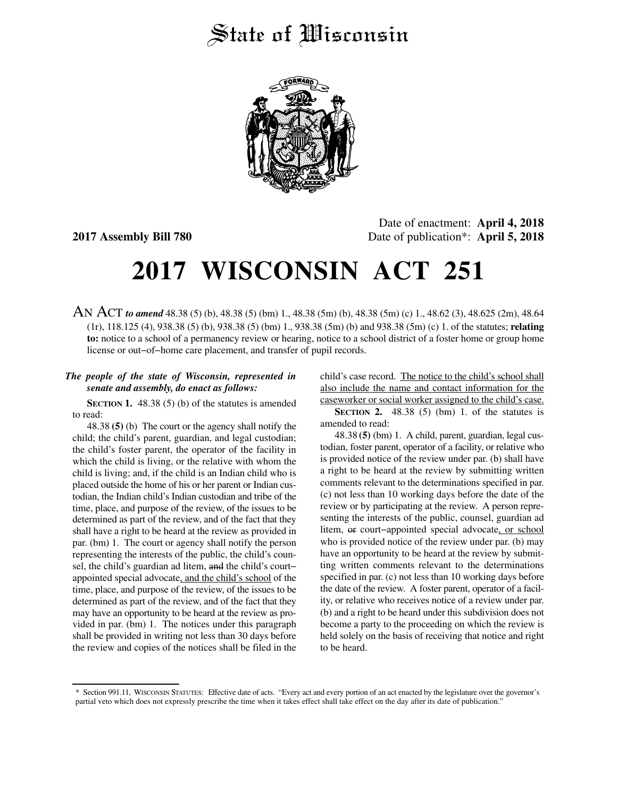## State of *Wisconsin*



Date of enactment: **April 4, 2018 2017 Assembly Bill 780** Date of publication\*: **April 5, 2018**

## **2017 WISCONSIN ACT 251**

AN ACT *to amend* 48.38 (5) (b), 48.38 (5) (bm) 1., 48.38 (5m) (b), 48.38 (5m) (c) 1., 48.62 (3), 48.625 (2m), 48.64 (1r), 118.125 (4), 938.38 (5) (b), 938.38 (5) (bm) 1., 938.38 (5m) (b) and 938.38 (5m) (c) 1. of the statutes; **relating to:** notice to a school of a permanency review or hearing, notice to a school district of a foster home or group home license or out−of−home care placement, and transfer of pupil records.

## *The people of the state of Wisconsin, represented in senate and assembly, do enact as follows:*

**SECTION 1.** 48.38 (5) (b) of the statutes is amended to read:

48.38 **(5)** (b) The court or the agency shall notify the child; the child's parent, guardian, and legal custodian; the child's foster parent, the operator of the facility in which the child is living, or the relative with whom the child is living; and, if the child is an Indian child who is placed outside the home of his or her parent or Indian custodian, the Indian child's Indian custodian and tribe of the time, place, and purpose of the review, of the issues to be determined as part of the review, and of the fact that they shall have a right to be heard at the review as provided in par. (bm) 1. The court or agency shall notify the person representing the interests of the public, the child's counsel, the child's guardian ad litem, and the child's court− appointed special advocate, and the child's school of the time, place, and purpose of the review, of the issues to be determined as part of the review, and of the fact that they may have an opportunity to be heard at the review as provided in par. (bm) 1. The notices under this paragraph shall be provided in writing not less than 30 days before the review and copies of the notices shall be filed in the

child's case record. The notice to the child's school shall also include the name and contact information for the caseworker or social worker assigned to the child's case.

**SECTION 2.** 48.38 (5) (bm) 1. of the statutes is amended to read:

48.38 **(5)** (bm) 1. A child, parent, guardian, legal custodian, foster parent, operator of a facility, or relative who is provided notice of the review under par. (b) shall have a right to be heard at the review by submitting written comments relevant to the determinations specified in par. (c) not less than 10 working days before the date of the review or by participating at the review. A person representing the interests of the public, counsel, guardian ad litem, or court−appointed special advocate, or school who is provided notice of the review under par. (b) may have an opportunity to be heard at the review by submitting written comments relevant to the determinations specified in par. (c) not less than 10 working days before the date of the review. A foster parent, operator of a facility, or relative who receives notice of a review under par. (b) and a right to be heard under this subdivision does not become a party to the proceeding on which the review is held solely on the basis of receiving that notice and right to be heard.

<sup>\*</sup> Section 991.11, WISCONSIN STATUTES: Effective date of acts. "Every act and every portion of an act enacted by the legislature over the governor's partial veto which does not expressly prescribe the time when it takes effect shall take effect on the day after its date of publication."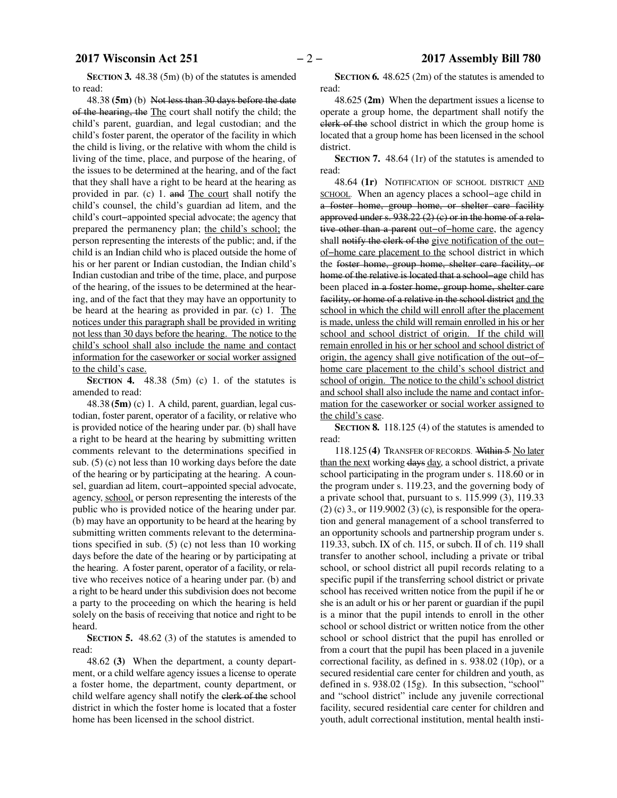**SECTION 3.** 48.38 (5m) (b) of the statutes is amended to read:

48.38 **(5m)** (b) Not less than 30 days before the date of the hearing, the The court shall notify the child; the child's parent, guardian, and legal custodian; and the child's foster parent, the operator of the facility in which the child is living, or the relative with whom the child is living of the time, place, and purpose of the hearing, of the issues to be determined at the hearing, and of the fact that they shall have a right to be heard at the hearing as provided in par. (c) 1. and The court shall notify the child's counsel, the child's guardian ad litem, and the child's court−appointed special advocate; the agency that prepared the permanency plan; the child's school; the person representing the interests of the public; and, if the child is an Indian child who is placed outside the home of his or her parent or Indian custodian, the Indian child's Indian custodian and tribe of the time, place, and purpose of the hearing, of the issues to be determined at the hearing, and of the fact that they may have an opportunity to be heard at the hearing as provided in par. (c) 1. The notices under this paragraph shall be provided in writing not less than 30 days before the hearing. The notice to the child's school shall also include the name and contact information for the caseworker or social worker assigned to the child's case.

**SECTION 4.** 48.38 (5m) (c) 1. of the statutes is amended to read:

48.38 **(5m)** (c) 1. A child, parent, guardian, legal custodian, foster parent, operator of a facility, or relative who is provided notice of the hearing under par. (b) shall have a right to be heard at the hearing by submitting written comments relevant to the determinations specified in sub. (5) (c) not less than 10 working days before the date of the hearing or by participating at the hearing. A counsel, guardian ad litem, court−appointed special advocate, agency, school, or person representing the interests of the public who is provided notice of the hearing under par. (b) may have an opportunity to be heard at the hearing by submitting written comments relevant to the determinations specified in sub. (5) (c) not less than 10 working days before the date of the hearing or by participating at the hearing. A foster parent, operator of a facility, or relative who receives notice of a hearing under par. (b) and a right to be heard under this subdivision does not become a party to the proceeding on which the hearing is held solely on the basis of receiving that notice and right to be heard.

**SECTION 5.** 48.62 (3) of the statutes is amended to read:

48.62 **(3)** When the department, a county department, or a child welfare agency issues a license to operate a foster home, the department, county department, or child welfare agency shall notify the clerk of the school district in which the foster home is located that a foster home has been licensed in the school district.

**SECTION 6.** 48.625 (2m) of the statutes is amended to read:

48.625 **(2m)** When the department issues a license to operate a group home, the department shall notify the clerk of the school district in which the group home is located that a group home has been licensed in the school district.

**SECTION 7.** 48.64 (1r) of the statutes is amended to read:

48.64 **(1r)** NOTIFICATION OF SCHOOL DISTRICT AND <u>SCHOOL</u>. When an agency places a school−age child in a foster home, group home, or shelter care facility approved under s. 938.22 (2) (c) or in the home of a relative other than a parent out−of−home care, the agency shall notify the clerk of the give notification of the out− of−home care placement to the school district in which the foster home, group home, shelter care facility, or home of the relative is located that a school−age child has been placed in a foster home, group home, shelter care facility, or home of a relative in the school district and the school in which the child will enroll after the placement is made, unless the child will remain enrolled in his or her school and school district of origin. If the child will remain enrolled in his or her school and school district of origin, the agency shall give notification of the out−of− home care placement to the child's school district and school of origin. The notice to the child's school district and school shall also include the name and contact information for the caseworker or social worker assigned to the child's case.

**SECTION 8.** 118.125 (4) of the statutes is amended to read:

118.125 **(4)** TRANSFER OF RECORDS. Within 5 No later than the next working days day, a school district, a private school participating in the program under s. 118.60 or in the program under s. 119.23, and the governing body of a private school that, pursuant to s. 115.999 (3), 119.33 (2) (c) 3., or 119.9002 (3) (c), is responsible for the operation and general management of a school transferred to an opportunity schools and partnership program under s. 119.33, subch. IX of ch. 115, or subch. II of ch. 119 shall transfer to another school, including a private or tribal school, or school district all pupil records relating to a specific pupil if the transferring school district or private school has received written notice from the pupil if he or she is an adult or his or her parent or guardian if the pupil is a minor that the pupil intends to enroll in the other school or school district or written notice from the other school or school district that the pupil has enrolled or from a court that the pupil has been placed in a juvenile correctional facility, as defined in s. 938.02 (10p), or a secured residential care center for children and youth, as defined in s. 938.02 (15g). In this subsection, "school" and "school district" include any juvenile correctional facility, secured residential care center for children and youth, adult correctional institution, mental health insti